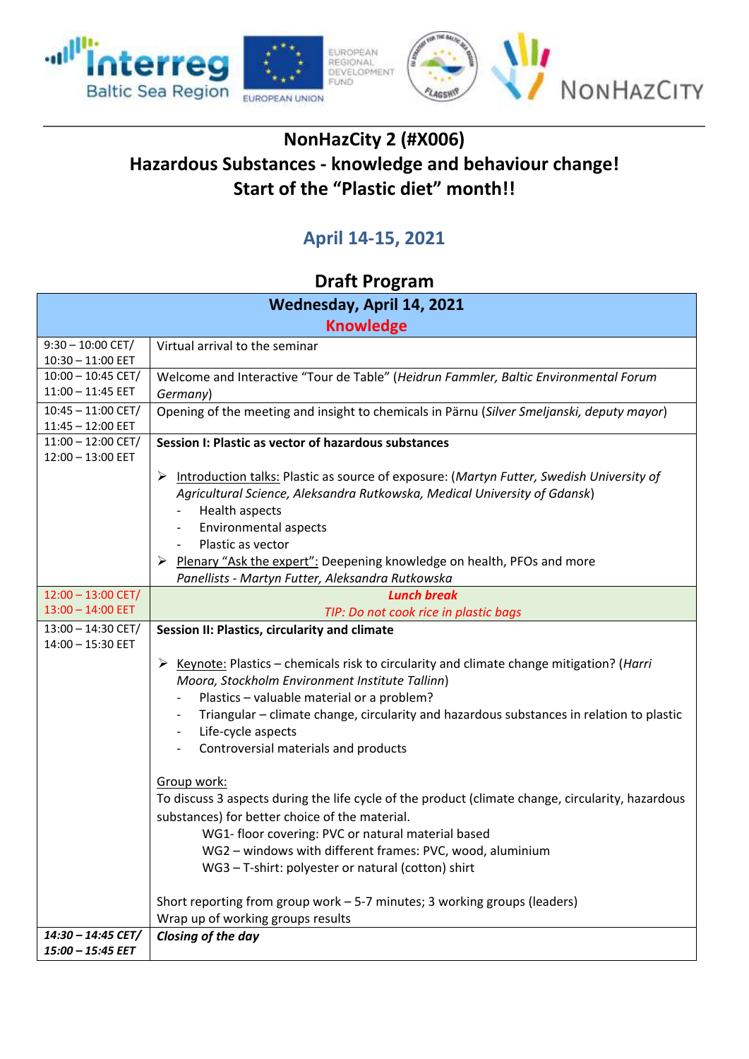



## **NonHazCity 2 (#X006) Hazardous Substances - knowledge and behaviour change! Start of the "Plastic diet" month!!**

## **April 14-15, 2021**

## **Draft Program**

| Wednesday, April 14, 2021                   |                                                                                                                                                                                                                                                                                                                                                                                                           |  |
|---------------------------------------------|-----------------------------------------------------------------------------------------------------------------------------------------------------------------------------------------------------------------------------------------------------------------------------------------------------------------------------------------------------------------------------------------------------------|--|
| <b>Knowledge</b>                            |                                                                                                                                                                                                                                                                                                                                                                                                           |  |
| $9:30 - 10:00$ CET/                         | Virtual arrival to the seminar                                                                                                                                                                                                                                                                                                                                                                            |  |
| $10:30 - 11:00$ EET                         |                                                                                                                                                                                                                                                                                                                                                                                                           |  |
| $10:00 - 10:45$ CET/                        | Welcome and Interactive "Tour de Table" (Heidrun Fammler, Baltic Environmental Forum                                                                                                                                                                                                                                                                                                                      |  |
| $11:00 - 11:45$ EET                         | Germany)                                                                                                                                                                                                                                                                                                                                                                                                  |  |
| $10:45 - 11:00$ CET/                        | Opening of the meeting and insight to chemicals in Pärnu (Silver Smeljanski, deputy mayor)                                                                                                                                                                                                                                                                                                                |  |
| $11:45 - 12:00$ EET<br>$11:00 - 12:00$ CET/ | Session I: Plastic as vector of hazardous substances                                                                                                                                                                                                                                                                                                                                                      |  |
| $12:00 - 13:00$ EET                         |                                                                                                                                                                                                                                                                                                                                                                                                           |  |
|                                             | Introduction talks: Plastic as source of exposure: (Martyn Futter, Swedish University of<br>➤<br>Agricultural Science, Aleksandra Rutkowska, Medical University of Gdansk)<br>Health aspects<br>$\overline{\phantom{a}}$<br>Environmental aspects<br>Plastic as vector<br>Plenary "Ask the expert": Deepening knowledge on health, PFOs and more<br>➤<br>Panellists - Martyn Futter, Aleksandra Rutkowska |  |
| $12:00 - 13:00$ CET/                        | <b>Lunch break</b>                                                                                                                                                                                                                                                                                                                                                                                        |  |
| $13:00 - 14:00$ EET                         | TIP: Do not cook rice in plastic bags                                                                                                                                                                                                                                                                                                                                                                     |  |
| $13:00 - 14:30$ CET/<br>$14:00 - 15:30$ EET | Session II: Plastics, circularity and climate                                                                                                                                                                                                                                                                                                                                                             |  |
|                                             | Example: Plastics – chemicals risk to circularity and climate change mitigation? ( <i>Harri</i> )<br>Moora, Stockholm Environment Institute Tallinn)                                                                                                                                                                                                                                                      |  |
|                                             | Plastics - valuable material or a problem?                                                                                                                                                                                                                                                                                                                                                                |  |
|                                             | Triangular - climate change, circularity and hazardous substances in relation to plastic<br>Life-cycle aspects                                                                                                                                                                                                                                                                                            |  |
|                                             | Controversial materials and products                                                                                                                                                                                                                                                                                                                                                                      |  |
|                                             | Group work:<br>To discuss 3 aspects during the life cycle of the product (climate change, circularity, hazardous<br>substances) for better choice of the material.<br>WG1- floor covering: PVC or natural material based<br>WG2 - windows with different frames: PVC, wood, aluminium<br>WG3 - T-shirt: polyester or natural (cotton) shirt                                                               |  |
|                                             | Short reporting from group work - 5-7 minutes; 3 working groups (leaders)                                                                                                                                                                                                                                                                                                                                 |  |
|                                             | Wrap up of working groups results                                                                                                                                                                                                                                                                                                                                                                         |  |
| 14:30 - 14:45 CET/                          | Closing of the day                                                                                                                                                                                                                                                                                                                                                                                        |  |
| 15:00 - 15:45 EET                           |                                                                                                                                                                                                                                                                                                                                                                                                           |  |